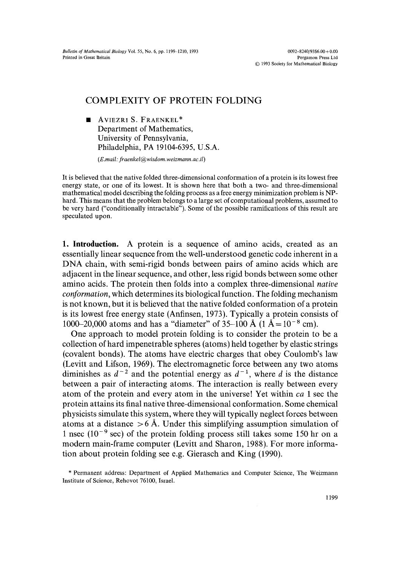*Bulletin of Mathematical Biology Vol.* 55, No. 6, pp. 1199-1210, 1993 Printed in Great Britain

 $0092 - 8240/9386.00 + 0.00$ Pergamon Press Ltd O 1993 Society for Mathematical Biology

## COMPLEXITY OF PROTEIN FOLDING

AVIEZRI S. FRAENKEL\* Department of Mathematics, University of Pennsylvania, Philadelphia, PA 19104-6395, U.S.A.

*(E.mail: fraenkel@wisdom.weizmann.ac.il)* 

It is believed that the native folded three-dimensional conformation of a protein is its lowest free energy state, or one of its lowest. It is shown here that both a two- and three-dimensional mathematical model describing the folding process as a free energy minimization problem is NPhard. This means that the problem belongs to a large set of computational problems, assumed to be very hard ("conditionally intractable"). Some of the possible ramifications of this result are speculated upon.

1. Introduction. A protein is a sequence of amino acids, created as an essentially linear sequence from the well-understood genetic code inherent in a DNA chain, with semi-rigid bonds between pairs of amino acids which are adjacent in the linear sequence, and other, less rigid bonds between some other amino acids. The protein then folds into a complex three-dimensional *native conformation,* which determines its biological function. The folding mechanism is not known, but it is believed that the native folded conformation of a protein is its lowest free energy state (Anfinsen, 1973). Typically a protein consists of 1000-20,000 atoms and has a "diameter" of 35-100 Å (1  $\AA = 10^{-8}$  cm).

One approach to model protein folding is to consider the protein to be a collection of hard impenetrable spheres (atoms) held together by elastic strings (covalent bonds). The atoms have electric charges that obey Coulomb's law (Levitt and Lifson, 1969). The electromagnetic force between any two atoms diminishes as  $d^{-2}$  and the potential energy as  $d^{-1}$ , where d is the distance between a pair of interacting atoms. The interaction is really between every atom of the protein and every atom in the universe! Yet within *ca* 1 sec the protein attains its final native three-dimensional conformation. Some chemical physicists simulate this system, where they will typically neglect forces between atoms at a distance  $> 6$  Å. Under this simplifying assumption simulation of 1 nsec  $(10^{-9}$  sec) of the protein folding process still takes some 150 hr on a modern main-frame computer (Levitt and Sharon, 1988). For more information about protein folding see e.g. Gierasch and King (1990).

<sup>\*</sup> Permanent address: Department of Applied Mathematics and Computer Science, The Weizmann Institute of Science, Rehovot 76100, Israel.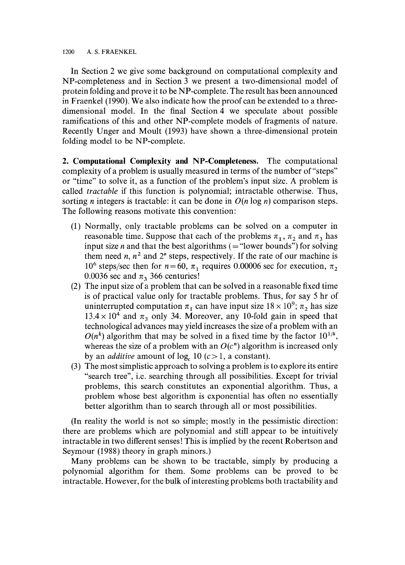1200 A.S. FRAENKEL

In Section 2 we give some background on computational complexity and NP-completeness and in Section 3 we present a two-dimensional model of protein folding and prove it to be NP-complete. The result has been announced in Fraenkel (1990). We also indicate how the proof can be extended to a threedimensional model. In the final Section 4 we speculate about possible ramifications of this and other NP-complete models of fragments of nature. Recently Unger and Moult (1993) have shown a three-dimensional protein folding model to be NP-complete.

**2. Computational Complexity and NP-Completeness.** The computational complexity of a problem is usually measured in terms of the number of "steps" or "time" to solve it, as a function of the problem's input size. A problem is called *tractable* if this function is polynomial; intractable otherwise. Thus, sorting *n* integers is tractable: it can be done in  $O(n \log n)$  comparison steps. The following reasons motivate this convention:

- (i) Normally, only tractable problems can be solved on a computer in reasonable time. Suppose that each of the problems  $\pi_1$ ,  $\pi_2$  and  $\pi_3$  has input size *n* and that the best algorithms ( $=$  "lower bounds") for solving them need n,  $n^2$  and  $2^n$  steps, respectively. If the rate of our machine is 10<sup>6</sup> steps/sec then for  $n = 60$ ,  $\pi_1$  requires 0.00006 sec for execution,  $\pi_2$ 0.0036 sec and  $\pi$ <sub>3</sub> 366 centuries!
- (2) The input size of a problem that can be solved in a reasonable fixed time is of practical value only for tractable problems. Thus, for say 5 hr of uninterrupted computation  $\pi_1$  can have input size  $18 \times 10^9$ ;  $\pi_2$  has size  $13.4 \times 10^{4}$  and  $\pi_3$  only 34. Moreover, any 10-fold gain in speed that technological advances may yield increases the size of a problem with an  $O(n^k)$  algorithm that may be solved in a fixed time by the factor  $10^{1/k}$ , whereas the size of a problem with an  $O(c^n)$  algorithm is increased only by an *additive* amount of  $log_a 10$  ( $c > 1$ , a constant).
- (3) The most simplistic approach to solving a problem is to explore its entire "search tree", i.e. searching through all possibilities. Except for trivial problems, this search constitutes an exponential algorithm. Thus, a problem whose best algorithm is exponential has often no essentially better algorithm than to search through all or most possibilities.

(In reality the world is not so simple; mostly in the pessimistic direction: there are problems which are polynomial and still appear to be intuitively intractable in two different senses ! This is implied by the recent Robertson and Seymour (1988) theory in graph minors.)

Many problems can be shown to be tractable, simply by producing a polynomial algorithm for them. Some problems can be proved to be intractable. However, for the bulk of interesting problems both tractability and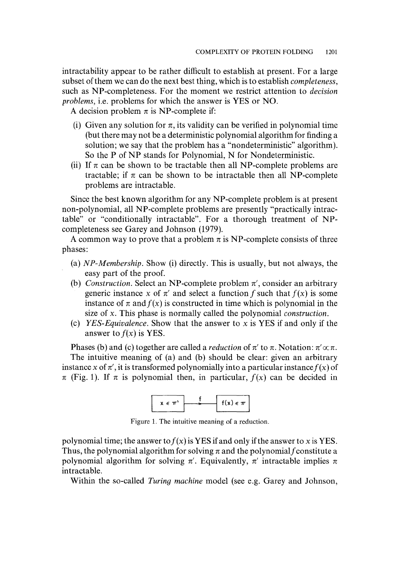intractability appear to be rather difficult to establish at present. For a large subset of them we can do the next best thing, which is to establish *completeness,*  such as NP-completeness. For the moment we restrict attention to *decision problems,* i.e. problems for which the answer is YES or NO.

A decision problem  $\pi$  is NP-complete if:

- (i) Given any solution for  $\pi$ , its validity can be verified in polynomial time (but there may not be a deterministic polynomial algorithm for finding a solution; we say that the problem has a "nondeterministic" algorithm). So the P of NP stands for Polynomial, N for Nondeterministic.
- (ii) If  $\pi$  can be shown to be tractable then all NP-complete problems are tractable; if  $\pi$  can be shown to be intractable then all NP-complete problems are intractable.

Since the best known algorithm for any NP-complete problem is at present non-polynomial, all NP-complete problems are presently "practically intractable" or "conditionally intractable". For a thorough treatment of NPcompleteness see Garey and Johnson (1979).

A common way to prove that a problem  $\pi$  is NP-complete consists of three phases:

- (a) *NP-Membership.* Show (i) directly. This is usually, but not always, the easy part of the proof.
- (b) *Construction*. Select an NP-complete problem  $\pi'$ , consider an arbitrary generic instance x of  $\pi'$  and select a function f such that  $f(x)$  is some instance of  $\pi$  and  $f(x)$  is constructed in time which is polynomial in the size of x. This phase is normally called the polynomial *construction.*
- (c) *YES-Equivalence.* Show that the answer to x is YES if and only if the answer to  $f(x)$  is YES.

Phases (b) and (c) together are called a *reduction* of  $\pi'$  to  $\pi$ . Notation:  $\pi' \propto \pi$ . The intuitive meaning of (a) and (b) should be clear: given an arbitrary instance x of  $\pi'$ , it is transformed polynomially into a particular instance  $f(x)$  of  $\pi$  (Fig. 1). If  $\pi$  is polynomial then, in particular,  $f(x)$  can be decided in



Figure 1. The intuitive meaning of a reduction.

polynomial time; the answer to  $f(x)$  is YES if and only if the answer to x is YES. Thus, the polynomial algorithm for solving  $\pi$  and the polynomial f constitute a polynomial algorithm for solving  $\pi'$ . Equivalently,  $\pi'$  intractable implies  $\pi$ intractable.

Within the so-called *Turing machine* model (see e.g. Garey and Johnson,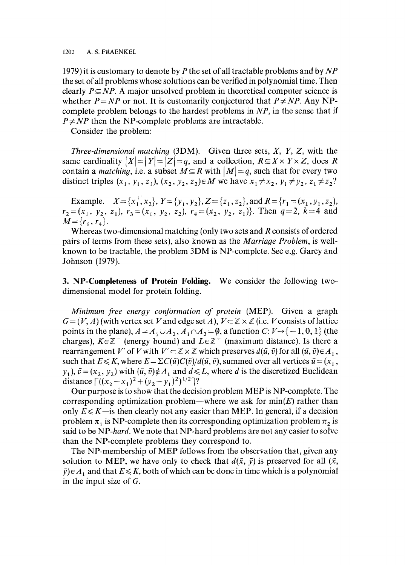1979) it is customary to denote by P the set of all tractable problems and by *NP*  the set of all problems whose solutions can be verified in polynomial time. Then clearly  $P \subseteq NP$ . A major unsolved problem in theoretical computer science is whether  $P = NP$  or not. It is customarily conjectured that  $P \neq NP$ . Any NPcomplete problem belongs to the hardest problems in *NP,* in the sense that if  $P \neq NP$  then the NP-complete problems are intractable.

Consider the problem:

*Three-dimensional matching* (3DM). Given three sets, X, Y, Z, with the same cardinality  $|X| = |Y| = |Z| = q$ , and a collection,  $R \subseteq X \times Y \times Z$ , does R contain a *matching*, i.e. a subset  $M \subseteq R$  with  $|M| = q$ , such that for every two distinct triples  $(x_1, y_1, z_1), (x_2, y_2, z_2) \in M$  we have  $x_1 \neq x_2, y_1 \neq y_2, z_1 \neq z_2$ ?

Example.  $X = \{x_1^{\prime}, x_2\}, Y = \{y_1, y_2\}, Z = \{z_1, z_2\}, \text{ and } R = \{r_1 = (x_1, y_1, z_2),$  $r_2=(x_1, y_2, z_1), r_3=(x_1, y_2, z_2), r_4=(x_2, y_2, z_1)$ . Then  $q=2$ ,  $k=4$  and  $M = \{r_1, r_4\}.$ 

Whereas two-dimensional matching (only two sets and R consists of ordered pairs of terms from these sets), also known as the *Marriage Problem,* is wellknown to be tractable, the problem 3DM is NP-complete. See e.g. Garey and Johnson (1979).

3. **NP-Completeness of Protein Folding.** We consider the following twodimensional model for protein folding.

*Minimum free energy conformation of protein* (MEP). Given a graph  $G = (V, A)$  (with vertex set V and edge set A),  $V \subset \mathbb{Z} \times \mathbb{Z}$  (i.e. V consists of lattice points in the plane),  $A = A_1 \cup A_2$ ,  $A_1 \cap A_2 = \emptyset$ , a function  $C: V \rightarrow \{-1, 0, 1\}$  (the charges),  $K \in \mathbb{Z}^-$  (energy bound) and  $L \in \mathbb{Z}^+$  (maximum distance). Is there a rearrangement V' of V with  $V' \subset \mathbb{Z} \times \mathbb{Z}$  which preserves  $d(\bar{u}, \bar{v})$  for all  $(\bar{u}, \bar{v}) \in A_1$ , such that  $E \le K$ , where  $E = \Sigma C(\bar{u})C(\bar{v})/d(\bar{u}, \bar{v})$ , summed over all vertices  $\bar{u} = (x_1, x_2, \bar{v})/d(\bar{u}, \bar{v})$  $y_1$ ,  $\bar{v} = (x_2, y_2)$  with  $(\bar{u}, \bar{v}) \notin A_1$  and  $d \le L$ , where d is the discretized Euclidean distance  $\left[ ((x_2-x_1)^2 + (y_2-y_1)^2)^{1/2} \right]$ ?

Our purpose is to show that the decision problem MEP is NP-complete. The corresponding optimization problem—where we ask for  $min(E)$  rather than only  $E \le K$ —is then clearly not any easier than MEP. In general, if a decision problem  $\pi_1$  is NP-complete then its corresponding optimization problem  $\pi_2$  is said to be *NP-hard.* We note that NP-hard problems are not any easier to solve than the NP-complete problems they correspond to.

The NP-membership of MEP follows from the observation that, given any solution to MEP, we have only to check that  $d(\bar{x}, \bar{y})$  is preserved for all  $(\bar{x}, \bar{y})$  $\bar{y}$ ) $\in$  A<sub>1</sub> and that  $E \le K$ , both of which can be done in time which is a polynomial in the input size of G.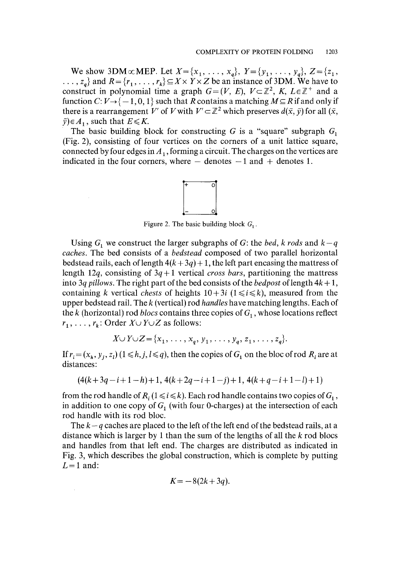We show 3DM $\alpha$ MEP. Let  $X = \{x_1, \ldots, x_q\}$ ,  $Y = \{y_1, \ldots, y_q\}$ ,  $Z = \{z_1, z_1, \ldots, z_q\}$  $\ldots$ ,  $z_q$ } and  $R = \{r_1, \ldots, r_k\} \subseteq X \times Y \times Z$  be an instance of 3DM. We have to construct in polynomial time a graph  $G=(V, E), V\subset\mathbb{Z}^2, K, L\in\mathbb{Z}^+$  and a function  $C: V \rightarrow \{-1, 0, 1\}$  such that R contains a matching  $M \subseteq R$  if and only if there is a rearrangement V' of V with  $V' \subset \mathbb{Z}^2$  which preserves  $d(\bar{x}, \bar{y})$  for all  $(\bar{x}, \bar{y})$  $\bar{y}$ ) $\in$  A<sub>1</sub>, such that  $E \le K$ .

The basic building block for constructing G is a "square" subgraph  $G_1$ (Fig. 2), consisting of four vertices on the corners of a unit lattice square, connected by four edges in  $A_1$ , forming a circuit. The charges on the vertices are indicated in the four corners, where  $-$  denotes  $-1$  and  $+$  denotes 1.



Figure 2. The basic building block  $G_1$ .

Using  $G_1$  we construct the larger subgraphs of G: the *bed, k rods* and  $k-q$ *caches•* The bed consists of a *bedstead* composed of two parallel horizontal bedstead rails, each of length  $4(k+3q) + 1$ , the left part encasing the mattress of length 12q, consisting of 3q + 1 vertical *cross bars,* partitioning the mattress into 3q *pillows*. The right part of the bed consists of the *bedpost* of length  $4k + 1$ , containing k vertical *chests* of heights  $10+3i$  ( $1 \le i \le k$ ), measured from the upper bedstead rail. The k (vertical) rod *handles* have matching lengths. Each of the k (horizontal) rod *blocs* contains three copies of  $G<sub>1</sub>$ , whose locations reflect  $r_1, \ldots, r_k$ : Order  $X \cup Y \cup Z$  as follows:

$$
X \cup Y \cup Z = \{x_1, \ldots, x_q, y_1, \ldots, y_q, z_1, \ldots, z_q\}.
$$

If  $r_i = (x_h, y_j, z_l)$   $(1 \le h, j, l \le q)$ , then the copies of  $G_1$  on the bloc of rod  $R_i$  are at distances:

$$
(4(k+3q-i+1-h)+1, 4(k+2q-i+1-j)+1, 4(k+q-i+1-l)+1)
$$

from the rod handle of  $R_i$  (1  $\le i \le k$ ). Each rod handle contains two copies of  $G_1$ , in addition to one copy of  $G_1$  (with four 0-charges) at the intersection of each rod handle with its rod bloc.

The  $k - q$  caches are placed to the left of the left end of the bedstead rails, at a distance which is larger by 1 than the sum of the lengths of all the k rod blocs and handles from that left end. The charges are distributed as indicated in Fig. 3, which describes the global construction, which is complete by putting  $L=1$  and:

$$
K = -8(2k+3q).
$$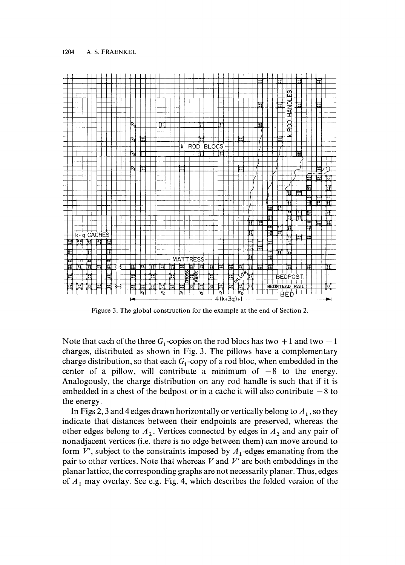

Figure 3. The global construction for the example at the end of Section 2.

Note that each of the three  $G_1$ -copies on the rod blocs has two  $+1$  and two  $-1$ charges, distributed as shown in Fig. 3. The pillows have a complementary charge distribution, so that each  $G_1$ -copy of a rod bloc, when embedded in the center of a pillow, will contribute a minimum of  $-8$  to the energy. Analogously, the charge distribution on any rod handle is such that if it is embedded in a chest of the bedpost or in a cache it will also contribute  $-8$  to the energy.

In Figs 2, 3 and 4 edges drawn horizontally or vertically belong to  $A<sub>1</sub>$ , so they indicate that distances between their endpoints are preserved, whereas the other edges belong to  $A_2$ . Vertices connected by edges in  $A_2$  and any pair of nonadjacent vertices (i.e. there is no edge between them) can move around to form  $V'$ , subject to the constraints imposed by  $A_1$ -edges emanating from the pair to other vertices. Note that whereas  $V$  and  $V'$  are both embeddings in the planar lattice, the corresponding graphs are not necessarily planar. Thus, edges of  $A_1$  may overlay. See e.g. Fig. 4, which describes the folded version of the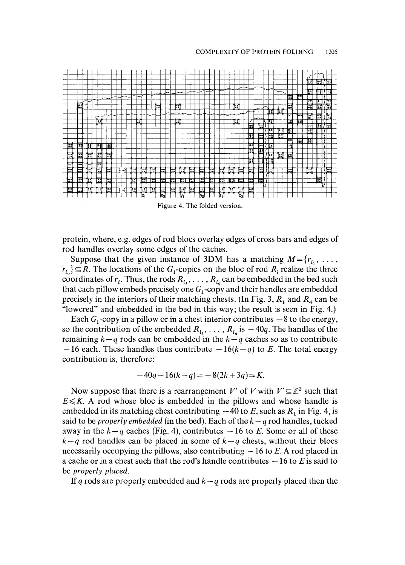

Figure 4. The folded version.

protein, where, e.g. edges of rod blocs overlay edges of cross bars and edges of rod handles overlay some edges of the caches.

Suppose that the given instance of 3DM has a matching  $M = \{r_i, \ldots, r\}$  $r_{i_q}$   $\subseteq$  R. The locations of the  $G_1$ -copies on the bloc of rod  $R_i$  realize the three coordinates of  $r_i$ . Thus, the rods  $R_{i_1}, \ldots, R_{i_q}$  can be embedded in the bed such that each pillow embeds precisely one  $G_1$ -copy and their handles are embedded precisely in the interiors of their matching chests. (In Fig. 3,  $R_1$  and  $R_4$  can be "lowered" and embedded in the bed in this way; the result is seen in Fig. 4.)

Each  $G_1$ -copy in a pillow or in a chest interior contributes  $-8$  to the energy, so the contribution of the embedded  $R_{i_1}, \ldots, R_{i_q}$  is  $-40q$ . The handles of the remaining  $k-q$  rods can be embedded in the  $k-q$  caches so as to contribute  $-16$  each. These handles thus contribute  $-16(k-q)$  to E. The total energy contribution is, therefore:

$$
-40q - 16(k - q) = -8(2k + 3q) = K.
$$

Now suppose that there is a rearrangement V' of V with  $V' \subseteq \mathbb{Z}^2$  such that  $E \le K$ . A rod whose bloc is embedded in the pillows and whose handle is embedded in its matching chest contributing  $-40$  to E, such as  $R_1$  in Fig. 4, is said to be *properly embedded* (in the bed). Each of the  $k-q$  rod handles, tucked away in the  $k-q$  caches (Fig. 4), contributes  $-16$  to E. Some or all of these  $k-q$  rod handles can be placed in some of  $k-q$  chests, without their blocs necessarily occupying the pillows, also contributing  $-16$  to E. A rod placed in a cache or in a chest such that the rod's handle contributes  $-16$  to E is said to be *properly placed.* 

If q rods are properly embedded and  $k - q$  rods are properly placed then the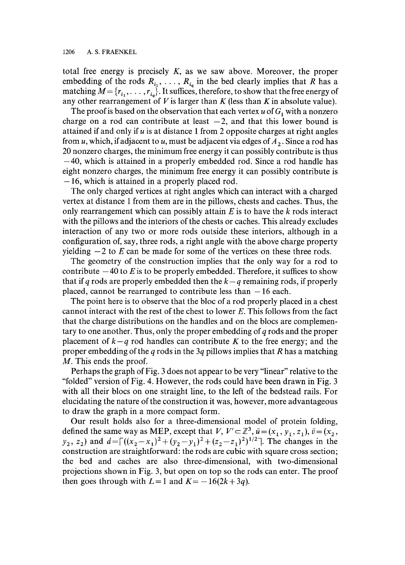total free energy is precisely  $K$ , as we saw above. Moreover, the proper embedding of the rods  $R_{i_1}, \ldots, R_{i_q}$  in the bed clearly implies that R has a matching  $M = \{r_{i_1}, \ldots, r_{i_n}\}$ . It suffices, therefore, to show that the free energy of any other rearrangement of V is larger than K (less than K in absolute value).

The proof is based on the observation that each vertex u of  $G_1$  with a nonzero charge on a rod can contribute at least  $-2$ , and that this lower bound is attained if and only if  $u$  is at distance 1 from 2 opposite charges at right angles from u, which, if adjacent to u, must be adjacent via edges of  $A_2$ . Since a rod has 20 nonzero charges, the minimum free energy it can possibly contribute is thus  $-40$ , which is attained in a properly embedded rod. Since a rod handle has eight nonzero charges, the minimum free energy it can possibly contribute is  $-16$ , which is attained in a properly placed rod.

The only charged vertices at right angles which can interact with a charged vertex at distance 1 from them are in the pillows, chests and caches. Thus, the only rearrangement which can possibly attain  $E$  is to have the  $k$  rods interact with the pillows and the interiors of the chests or caches. This already excludes interaction of any two or more rods outside these interiors, although in a configuration of, say, three rods, a right angle with the above charge property yielding  $-2$  to E can be made for some of the vertices on these three rods.

The geometry of the construction implies that the only way for a rod to contribute  $-40$  to E is to be properly embedded. Therefore, it suffices to show that if q rods are properly embedded then the  $k-q$  remaining rods, if properly placed, cannot be rearranged to contribute less than  $-16$  each.

The point here is to observe that the bloc of a rod properly placed in a chest cannot interact with the rest of the chest to lower E. This follows from the fact that the charge distributions on the handles and on the blocs are complementary to one another. Thus, only the proper embedding of  $q$  rods and the proper placement of  $k-q$  rod handles can contribute K to the free energy; and the proper embedding of the q rods in the 3q pillows implies that R has a matching M. This ends the proof.

Perhaps the graph of Fig. 3 does not appear to be very "linear" relative to the "folded" version of Fig. 4. However, the rods could have been drawn in Fig. 3 with all their blocs on one straight line, to the left of the bedstead rails. For elucidating the nature of the construction it was, however, more advantageous to draw the graph in a more compact form.

Our result holds also for a three-dimensional model of protein folding, defined the same way as MEP, except that  $V, V' \subset \mathbb{Z}^3, \bar{u} = (x_1, y_1, z_1), \bar{v} = (x_2,$  $y_2, z_2$ ) and  $d = \lceil ((x_2 - x_1)^2 + (y_2 - y_1)^2 + (z_2 - z_1)^2)^{1/2} \rceil$ . The changes in the construction are straightforward: the rods are cubic with square cross section; the bed and caches are also three-dimensional, with two-dimensional projections shown in Fig. 3, but open on top so the rods can enter. The proof then goes through with  $L=1$  and  $K=-16(2k+3q)$ .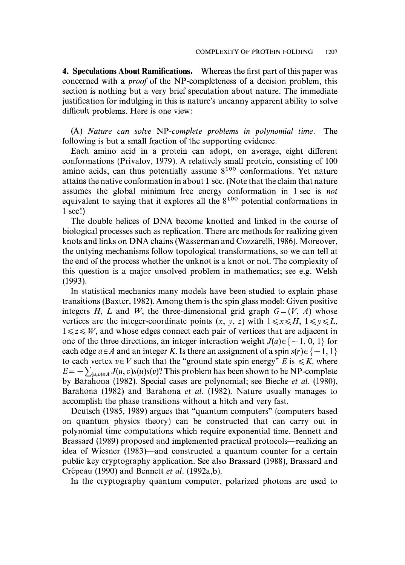4. **Speculations About Ramifications.** Whereas the first part of this paper was concerned with a *proof* of the NP-completeness of a decision problem, this section is nothing but a very brief speculation about nature. The immediate justification for indulging in this is nature's uncanny apparent ability to solve difficult problems. Here is one view:

(A) *Nature can solve NP-complete problems in polynomial time.* The following is but a small fraction of the supporting evidence.

Each amino acid in a protein can adopt, on average, eight different conformations (Privalov, 1979). A relatively small protein, consisting of 100 amino acids, can thus potentially assume  $8^{100}$  conformations. Yet nature attains the native conformation in about 1 sec. (Note that the claim that nature assumes the global minimum free energy conformation in 1 sec is *not*  equivalent to saying that it explores all the  $8^{100}$  potential conformations in 1 sec!)

The double helices of DNA become knotted and linked in the course of biological processes such as replication. There are methods for realizing given knots and links on DNA chains (Wasserman and Cozzarelli, 1986). Moreover, the untying mechanisms follow topological transformations, so we can tell at the end of the process whether the unknot is a knot or not. The complexity of this question is a major unsolved problem in mathematics; see e.g. Welsh (1993).

In statistical mechanics many models have been studied to explain phase transitions (Baxter, 1982). Among them is the spin glass model: Given positive integers H, L and W, the three-dimensional grid graph  $G=(V, A)$  whose vertices are the integer-coordinate points  $(x, y, z)$  with  $1 \le x \le H$ ,  $1 \le y \le L$ ,  $1 \leq z \leq W$ , and whose edges connect each pair of vertices that are adjacent in one of the three directions, an integer interaction weight  $J(a) \in \{-1, 0, 1\}$  for each edge  $a \in A$  and an integer K. Is there an assignment of a spin  $s(r) \in \{-1, 1\}$ to each vertex  $v \in V$  such that the "ground state spin energy" E is  $\leq K$ , where  $E = -\sum_{(u,v)\in A} J(u,v)s(u)s(v)$ ? This problem has been shown to be NP-complete by Barahona (1982). Special cases are polynomial; see Bieche *et al.* (1980), Barahona (1982) and Barahona *et al.* (1982). Nature usually manages to accomplish the phase transitions without a hitch and very fast.

Deutsch (1985, 1989) argues that "quantum computers" (computers based on quantum physics theory) can be constructed that can carry out in polynomial time computations which require exponential time. Bennett and Brassard (1989) proposed and implemented practical protocols—realizing an idea of Wiesner (1983)—and constructed a quantum counter for a certain public key cryptography application. See also Brassard (1988), Brassard and Crépeau (1990) and Bennett *et al.* (1992a,b).

In the cryptography quantum computer, polarized photons are used to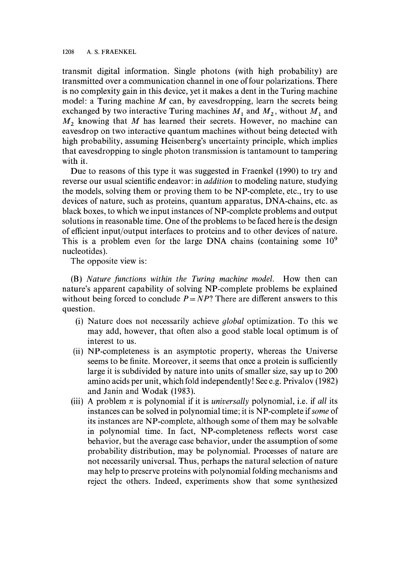transmit digital information. Single photons (with high probability) are transmitted over a communication channel in one of four polarizations. There is no complexity gain in this device, yet it makes a dent in the Turing machine model: a Turing machine  $M$  can, by eavesdropping, learn the secrets being exchanged by two interactive Turing machines  $M_1$  and  $M_2$ , without  $M_1$  and  $M<sub>2</sub>$  knowing that M has learned their secrets. However, no machine can eavesdrop on two interactive quantum machines without being detected with high probability, assuming Heisenberg's uncertainty principle, which implies that eavesdropping to single photon transmission is tantamount to tampering with it.

Due to reasons of this type it was suggested in Fraenkel (1990) to try and reverse our usual scientific endeavor: in *addition* to modeling nature, studying the models, solving them or proving them to be NP-complete, etc., try to use devices of nature, such as proteins, quantum apparatus, DNA-chains, etc. as black boxes, to which we input instances of NP-complete problems and output solutions in reasonable time. One of the problems to be faced here is the design of efficient input/output interfaces to proteins and to other devices of nature. This is a problem even for the large DNA chains (containing some  $10<sup>9</sup>$ nucleotides).

The opposite view is:

(B) *Nature functions within the Turing machine model.* How then can nature's apparent capability of solving NP-complete problems be explained without being forced to conclude  $P = NP$ ? There are different answers to this question.

- (i) Nature does not necessarily achieve *global* optimization. To this we may add, however, that often also a good stable local optimum is of interest to us.
- (ii) NP-completeness is an asymptotic property, whereas the Universe seems to be finite. Moreover, it seems that once a protein is sufficiently large it is subdivided by nature into units of smaller size, say up to 200 amino acids per unit, which fold independently! See e.g. Privalov (1982) and Janin and Wodak (1983).
- (iii) A problem  $\pi$  is polynomial if it is *universally* polynomial, i.e. if *all* its instances can be solved in polynomial time; it is NP-complete *if some* of its instances are NP-complete, although some of them may be solvable in polynomial time. In fact, NP-completeness reflects worst case behavior, but the average case behavior, under the assumption of some probability distribution, may be polynomial. Processes of nature are not necessarily universal. Thus, perhaps the natural selection of nature may help to preserve proteins with polynomial folding mechanisms and reject the others. Indeed, experiments show that some synthesized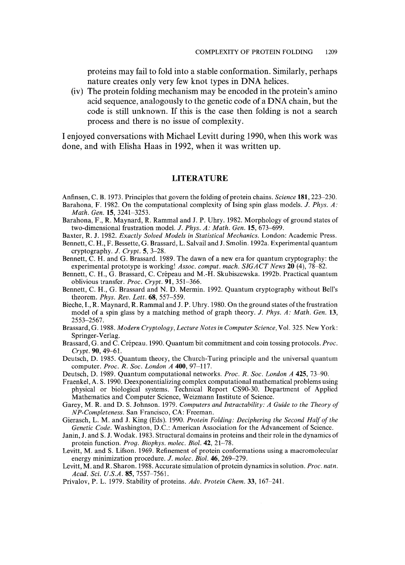proteins may fail to fold into a stable conformation. Similarly, perhaps nature creates only very few knot types in DNA helices.

(iv) The protein folding mechanism may be encoded in the protein's amino acid sequence, analogously to the genetic code of a DNA chain, but the code is still unknown. If this is the case then folding is not a search process and there is no issue of complexity.

I enjoyed conversations with Michael Levitt during 1990, when this work was done, and with Elisha Haas in 1992, when it was written up.

## **LITERATURE**

Anfinsen, C. B. 1973. Principles that govern the folding of protein chains. *Science* 181,223-230.

- Barahona, F. 1982. On the computational complexity of Ising spin glass models. *J. Phys. A: Math. Gen.* 15, 3241-3253.
- Barahona, F., R. Maynard, R. Rammal and J. P. Uhry. 1982. Morphology of ground states of two-dimensional frustration model. *J. Phys. A: Math. Gen.* 15, 673-699.
- Baxter, R. J. 1982. *Exactly Solved Models in Statistical Mechanics.* London: Academic Press.
- Bennett, C. H., F. Bessette, G. Brassard, L. Salvail and J. Smolin. 1992a. Experimental quantum cryptography. *J. Crypt.* 5, 3-28.
- Bennett, C. H. and G. Brassard. 1989. The dawn of a new era for quantum cryptography: the experimental prototype is working! *Assoc. comput. mach. SIGACT News* 20 (4), 78-82.
- Bennett, C. H., G. Brassard, C. Crépeau and M.-H. Skubiszewska. 1992b. Practical quantum oblivious transfer. *Proc. Crypt.* 91,351-366.
- Bennett, C. H., G. Brassard and N. D. Mermin. 1992. Quantum cryptography without Bell's theorem. *Phys. Rev. Lett.* 68, 557-559.
- Bieche, I., R. Maynard, R. Rammal and J. P. Uhry. 1980. On the ground states of the frustration model of a spin glass by a matching method of graph theory. *J. Phys. A: Math. Gen.* 13, 2553-2567.
- Brassard, G. 1988. *Modern Cryptology, Lecture Notes in Computer Science,* Vol. 325. New York: Springer-Verlag.
- Brassard, G. and C. Cr6peau. 1990. Quantum bit commitment and coin tossing protocols. *Proc. Crypt.* 90, 49-61.
- Deutsch, D. 1985. Quantum theory, the Church-Turing principle and the universal quantum computer. *Proc. R. Soc. London A* 400, 97-117.
- Deutsch, D. 1989. Quantum computational networks. *Proc. R. Soc. London A* 425, 73-90.
- Fraenkel, A. S. 1990. Deexponentializing complex computational mathematical problems using physical or biological systems. Technical Report CS90-30. Department of Applied Mathematics and Computer Science, Weizmann Institute of Science.
- Garey, M. R. and D. S. Johnson. 1979. *Computers and Intractability: A Guide to the Theory of NP-Completeness.* San Francisco, CA: Freeman.
- Gierasch, L. M. and J. King (Eds). 1990. *Protein Folding: Deciphering the Second Half of the Genetic Code.* Washington, D.C.: American Association for the Advancement of Science.
- Janin, J. and S. J. Wodak. 1983. Structural domains in proteins and their role in the dynamics of protein function. *Pro9. Biophys. molec. Biol.* 42, 21-78.
- Levitt, M. and S. Lifson. 1969. Refinement of protein conformations using a macromolecular energy minimization procedure. *J. molec. Biol.* 46, 269-279.
- Levitt, M. and R. Sharon. 1988. Accurate simulation of protein dynamics in solution. *Proc. natn.*  Acad. Sci. U.S.A. 85, 7557-7561.
- Privalov, P. L. 1979. Stability of proteins. Adv. Protein Chem. 33, 167-241.